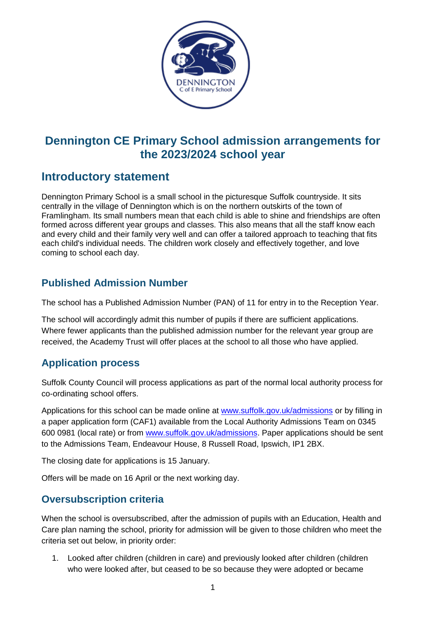

# **Dennington CE Primary School admission arrangements for the 2023/2024 school year**

# **Introductory statement**

Dennington Primary School is a small school in the picturesque Suffolk countryside. It sits centrally in the village of Dennington which is on the northern outskirts of the town of Framlingham. Its small numbers mean that each child is able to shine and friendships are often formed across different year groups and classes. This also means that all the staff know each and every child and their family very well and can offer a tailored approach to teaching that fits each child's individual needs. The children work closely and effectively together, and love coming to school each day.

## **Published Admission Number**

The school has a Published Admission Number (PAN) of 11 for entry in to the Reception Year.

The school will accordingly admit this number of pupils if there are sufficient applications. Where fewer applicants than the published admission number for the relevant year group are received, the Academy Trust will offer places at the school to all those who have applied.

### **Application process**

Suffolk County Council will process applications as part of the normal local authority process for co-ordinating school offers.

Applications for this school can be made online at [www.suffolk.gov.uk/admissions](http://www.suffolk.gov.uk/admissions) or by filling in a paper application form (CAF1) available from the Local Authority Admissions Team on 0345 600 0981 (local rate) or from [www.suffolk.gov.uk/admissions.](http://www.suffolk.gov.uk/admissions) Paper applications should be sent to the Admissions Team, Endeavour House, 8 Russell Road, Ipswich, IP1 2BX.

The closing date for applications is 15 January.

Offers will be made on 16 April or the next working day.

## **Oversubscription criteria**

When the school is oversubscribed, after the admission of pupils with an Education, Health and Care plan naming the school, priority for admission will be given to those children who meet the criteria set out below, in priority order:

1. Looked after children (children in care) and previously looked after children (children who were looked after, but ceased to be so because they were adopted or became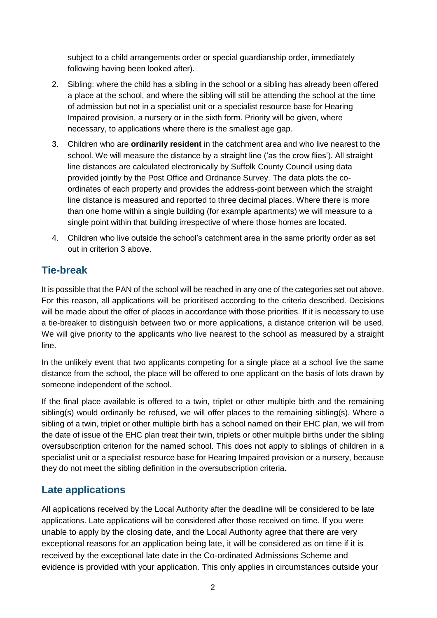subject to a child arrangements order or special guardianship order, immediately following having been looked after).

- 2. Sibling: where the child has a sibling in the school or a sibling has already been offered a place at the school, and where the sibling will still be attending the school at the time of admission but not in a specialist unit or a specialist resource base for Hearing Impaired provision, a nursery or in the sixth form. Priority will be given, where necessary, to applications where there is the smallest age gap.
- 3. Children who are **ordinarily resident** in the catchment area and who live nearest to the school. We will measure the distance by a straight line ('as the crow flies'). All straight line distances are calculated electronically by Suffolk County Council using data provided jointly by the Post Office and Ordnance Survey. The data plots the coordinates of each property and provides the address-point between which the straight line distance is measured and reported to three decimal places. Where there is more than one home within a single building (for example apartments) we will measure to a single point within that building irrespective of where those homes are located.
- 4. Children who live outside the school's catchment area in the same priority order as set out in criterion 3 above.

## **Tie-break**

It is possible that the PAN of the school will be reached in any one of the categories set out above. For this reason, all applications will be prioritised according to the criteria described. Decisions will be made about the offer of places in accordance with those priorities. If it is necessary to use a tie-breaker to distinguish between two or more applications, a distance criterion will be used. We will give priority to the applicants who live nearest to the school as measured by a straight line.

In the unlikely event that two applicants competing for a single place at a school live the same distance from the school, the place will be offered to one applicant on the basis of lots drawn by someone independent of the school.

If the final place available is offered to a twin, triplet or other multiple birth and the remaining sibling(s) would ordinarily be refused, we will offer places to the remaining sibling(s). Where a sibling of a twin, triplet or other multiple birth has a school named on their EHC plan, we will from the date of issue of the EHC plan treat their twin, triplets or other multiple births under the sibling oversubscription criterion for the named school. This does not apply to siblings of children in a specialist unit or a specialist resource base for Hearing Impaired provision or a nursery, because they do not meet the sibling definition in the oversubscription criteria.

### **Late applications**

All applications received by the Local Authority after the deadline will be considered to be late applications. Late applications will be considered after those received on time. If you were unable to apply by the closing date, and the Local Authority agree that there are very exceptional reasons for an application being late, it will be considered as on time if it is received by the exceptional late date in the Co-ordinated Admissions Scheme and evidence is provided with your application. This only applies in circumstances outside your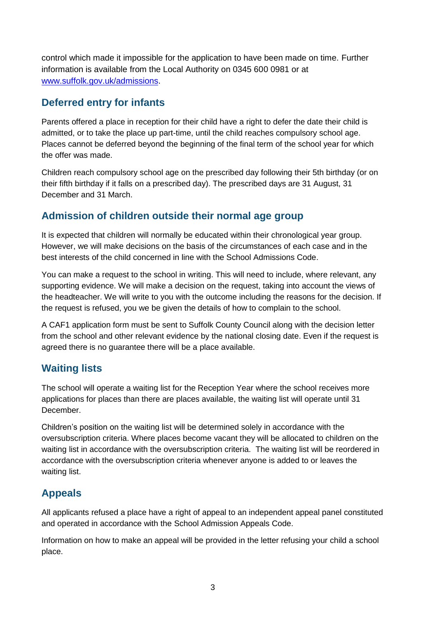control which made it impossible for the application to have been made on time. Further information is available from the Local Authority on 0345 600 0981 or at [www.suffolk.gov.uk/admissions.](http://www.suffolk.gov.uk/admissions)

### **Deferred entry for infants**

Parents offered a place in reception for their child have a right to defer the date their child is admitted, or to take the place up part-time, until the child reaches compulsory school age. Places cannot be deferred beyond the beginning of the final term of the school year for which the offer was made.

Children reach compulsory school age on the prescribed day following their 5th birthday (or on their fifth birthday if it falls on a prescribed day). The prescribed days are 31 August, 31 December and 31 March.

## **Admission of children outside their normal age group**

It is expected that children will normally be educated within their chronological year group. However, we will make decisions on the basis of the circumstances of each case and in the best interests of the child concerned in line with the School Admissions Code.

You can make a request to the school in writing. This will need to include, where relevant, any supporting evidence. We will make a decision on the request, taking into account the views of the headteacher. We will write to you with the outcome including the reasons for the decision. If the request is refused, you we be given the details of how to complain to the school.

A CAF1 application form must be sent to Suffolk County Council along with the decision letter from the school and other relevant evidence by the national closing date. Even if the request is agreed there is no guarantee there will be a place available.

## **Waiting lists**

The school will operate a waiting list for the Reception Year where the school receives more applications for places than there are places available, the waiting list will operate until 31 December.

Children's position on the waiting list will be determined solely in accordance with the oversubscription criteria. Where places become vacant they will be allocated to children on the waiting list in accordance with the oversubscription criteria. The waiting list will be reordered in accordance with the oversubscription criteria whenever anyone is added to or leaves the waiting list.

# **Appeals**

All applicants refused a place have a right of appeal to an independent appeal panel constituted and operated in accordance with the School Admission Appeals Code.

Information on how to make an appeal will be provided in the letter refusing your child a school place.